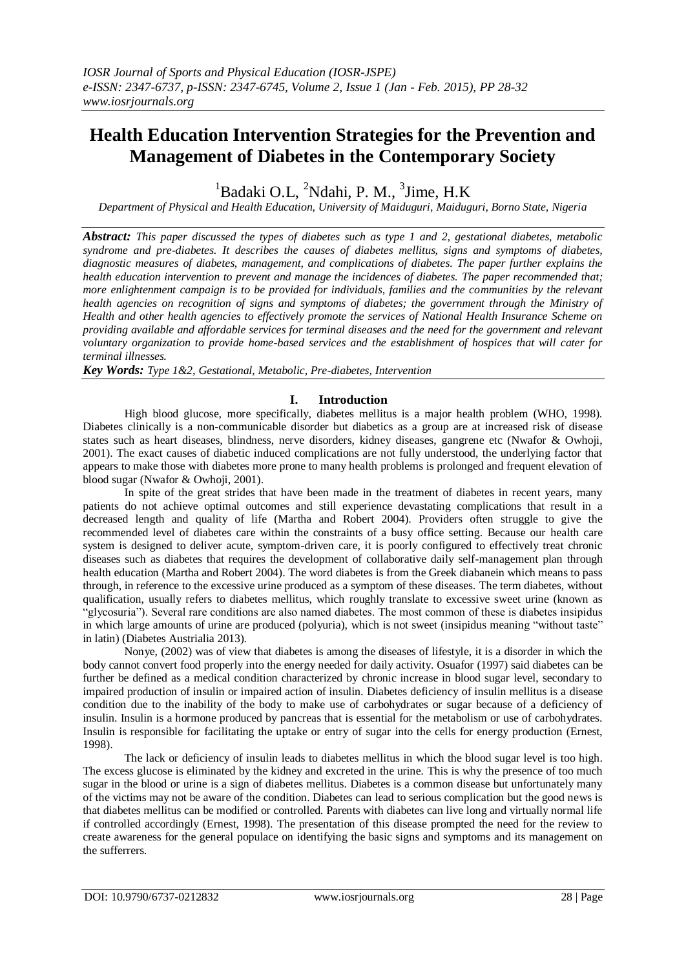# **Health Education Intervention Strategies for the Prevention and Management of Diabetes in the Contemporary Society**

 ${}^{1}$ Badaki O.L,  ${}^{2}$ Ndahi, P. M.,  ${}^{3}$ Jime, H.K

*Department of Physical and Health Education, University of Maiduguri, Maiduguri, Borno State, Nigeria*

*Abstract: This paper discussed the types of diabetes such as type 1 and 2, gestational diabetes, metabolic syndrome and pre-diabetes. It describes the causes of diabetes mellitus, signs and symptoms of diabetes, diagnostic measures of diabetes, management, and complications of diabetes. The paper further explains the health education intervention to prevent and manage the incidences of diabetes. The paper recommended that; more enlightenment campaign is to be provided for individuals, families and the communities by the relevant health agencies on recognition of signs and symptoms of diabetes; the government through the Ministry of Health and other health agencies to effectively promote the services of National Health Insurance Scheme on providing available and affordable services for terminal diseases and the need for the government and relevant voluntary organization to provide home-based services and the establishment of hospices that will cater for terminal illnesses.*

*Key Words: Type 1&2, Gestational, Metabolic, Pre-diabetes, Intervention*

# **I. Introduction**

High blood glucose, more specifically, diabetes mellitus is a major health problem (WHO, 1998). Diabetes clinically is a non-communicable disorder but diabetics as a group are at increased risk of disease states such as heart diseases, blindness, nerve disorders, kidney diseases, gangrene etc (Nwafor & Owhoji, 2001). The exact causes of diabetic induced complications are not fully understood, the underlying factor that appears to make those with diabetes more prone to many health problems is prolonged and frequent elevation of blood sugar (Nwafor & Owhoji, 2001).

In spite of the great strides that have been made in the treatment of diabetes in recent years, many patients do not achieve optimal outcomes and still experience devastating complications that result in a decreased length and quality of life (Martha and Robert 2004). Providers often struggle to give the recommended level of diabetes care within the constraints of a busy office setting. Because our health care system is designed to deliver acute, symptom-driven care, it is poorly configured to effectively treat chronic diseases such as diabetes that requires the development of collaborative daily self-management plan through health education (Martha and Robert 2004). The word diabetes is from the Greek diabanein which means to pass through, in reference to the excessive urine produced as a symptom of these diseases. The term diabetes, without qualification, usually refers to diabetes mellitus, which roughly translate to excessive sweet urine (known as "glycosuria"). Several rare conditions are also named diabetes. The most common of these is diabetes insipidus in which large amounts of urine are produced (polyuria), which is not sweet (insipidus meaning "without taste" in latin) (Diabetes Austrialia 2013).

Nonye, (2002) was of view that diabetes is among the diseases of lifestyle, it is a disorder in which the body cannot convert food properly into the energy needed for daily activity. Osuafor (1997) said diabetes can be further be defined as a medical condition characterized by chronic increase in blood sugar level, secondary to impaired production of insulin or impaired action of insulin. Diabetes deficiency of insulin mellitus is a disease condition due to the inability of the body to make use of carbohydrates or sugar because of a deficiency of insulin. Insulin is a hormone produced by pancreas that is essential for the metabolism or use of carbohydrates. Insulin is responsible for facilitating the uptake or entry of sugar into the cells for energy production (Ernest, 1998).

The lack or deficiency of insulin leads to diabetes mellitus in which the blood sugar level is too high. The excess glucose is eliminated by the kidney and excreted in the urine. This is why the presence of too much sugar in the blood or urine is a sign of diabetes mellitus. Diabetes is a common disease but unfortunately many of the victims may not be aware of the condition. Diabetes can lead to serious complication but the good news is that diabetes mellitus can be modified or controlled. Parents with diabetes can live long and virtually normal life if controlled accordingly (Ernest, 1998). The presentation of this disease prompted the need for the review to create awareness for the general populace on identifying the basic signs and symptoms and its management on the sufferrers.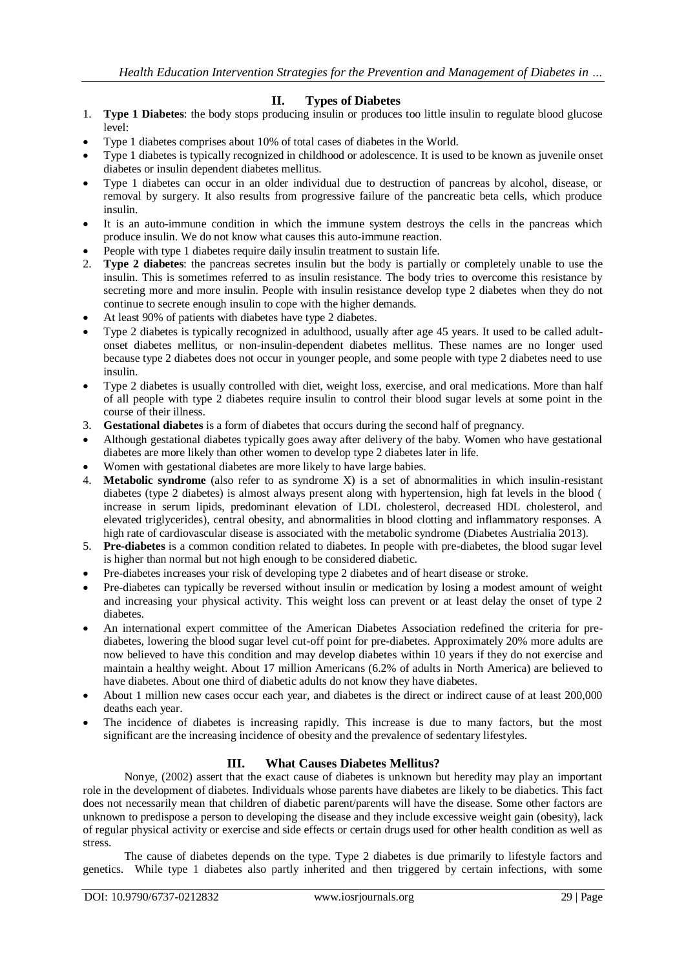# **II. Types of Diabetes**

- 1. **Type 1 Diabetes**: the body stops producing insulin or produces too little insulin to regulate blood glucose level:
- Type 1 diabetes comprises about 10% of total cases of diabetes in the World.
- Type 1 diabetes is typically recognized in childhood or adolescence. It is used to be known as juvenile onset diabetes or insulin dependent diabetes mellitus.
- Type 1 diabetes can occur in an older individual due to destruction of pancreas by alcohol, disease, or removal by surgery. It also results from progressive failure of the pancreatic beta cells, which produce insulin.
- It is an auto-immune condition in which the immune system destroys the cells in the pancreas which produce insulin. We do not know what causes this auto-immune reaction.
- People with type 1 diabetes require daily insulin treatment to sustain life.
- 2. **Type 2 diabetes**: the pancreas secretes insulin but the body is partially or completely unable to use the insulin. This is sometimes referred to as insulin resistance. The body tries to overcome this resistance by secreting more and more insulin. People with insulin resistance develop type 2 diabetes when they do not continue to secrete enough insulin to cope with the higher demands.
- At least 90% of patients with diabetes have type 2 diabetes.
- Type 2 diabetes is typically recognized in adulthood, usually after age 45 years. It used to be called adultonset diabetes mellitus, or non-insulin-dependent diabetes mellitus. These names are no longer used because type 2 diabetes does not occur in younger people, and some people with type 2 diabetes need to use insulin.
- Type 2 diabetes is usually controlled with diet, weight loss, exercise, and oral medications. More than half of all people with type 2 diabetes require insulin to control their blood sugar levels at some point in the course of their illness.
- 3. **Gestational diabetes** is a form of diabetes that occurs during the second half of pregnancy.
- Although gestational diabetes typically goes away after delivery of the baby. Women who have gestational diabetes are more likely than other women to develop type 2 diabetes later in life.
- Women with gestational diabetes are more likely to have large babies.
- 4. **Metabolic syndrome** (also refer to as syndrome X) is a set of abnormalities in which insulin-resistant diabetes (type 2 diabetes) is almost always present along with hypertension, high fat levels in the blood ( increase in serum lipids, predominant elevation of LDL cholesterol, decreased HDL cholesterol, and elevated triglycerides), central obesity, and abnormalities in blood clotting and inflammatory responses. A high rate of cardiovascular disease is associated with the metabolic syndrome (Diabetes Austrialia 2013).
- 5. **Pre-diabetes** is a common condition related to diabetes. In people with pre-diabetes, the blood sugar level is higher than normal but not high enough to be considered diabetic.
- Pre-diabetes increases your risk of developing type 2 diabetes and of heart disease or stroke.
- Pre-diabetes can typically be reversed without insulin or medication by losing a modest amount of weight and increasing your physical activity. This weight loss can prevent or at least delay the onset of type 2 diabetes.
- An international expert committee of the American Diabetes Association redefined the criteria for prediabetes, lowering the blood sugar level cut-off point for pre-diabetes. Approximately 20% more adults are now believed to have this condition and may develop diabetes within 10 years if they do not exercise and maintain a healthy weight. About 17 million Americans (6.2% of adults in North America) are believed to have diabetes. About one third of diabetic adults do not know they have diabetes.
- About 1 million new cases occur each year, and diabetes is the direct or indirect cause of at least 200,000 deaths each year.
- The incidence of diabetes is increasing rapidly. This increase is due to many factors, but the most significant are the increasing incidence of obesity and the prevalence of sedentary lifestyles.

## **III. What Causes Diabetes Mellitus?**

Nonye, (2002) assert that the exact cause of diabetes is unknown but heredity may play an important role in the development of diabetes. Individuals whose parents have diabetes are likely to be diabetics. This fact does not necessarily mean that children of diabetic parent/parents will have the disease. Some other factors are unknown to predispose a person to developing the disease and they include excessive weight gain (obesity), lack of regular physical activity or exercise and side effects or certain drugs used for other health condition as well as stress.

The cause of diabetes depends on the type. Type 2 diabetes is due primarily to lifestyle factors and genetics. While type 1 diabetes also partly inherited and then triggered by certain infections, with some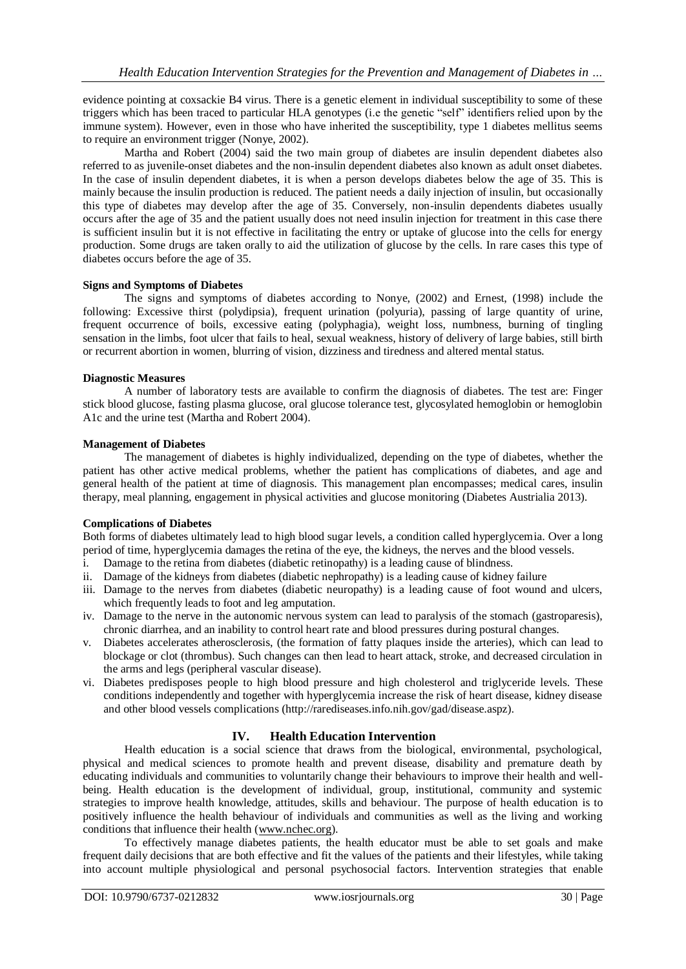evidence pointing at coxsackie B4 virus. There is a genetic element in individual susceptibility to some of these triggers which has been traced to particular HLA genotypes (i.e the genetic "self" identifiers relied upon by the immune system). However, even in those who have inherited the susceptibility, type 1 diabetes mellitus seems to require an environment trigger (Nonye, 2002).

Martha and Robert (2004) said the two main group of diabetes are insulin dependent diabetes also referred to as juvenile-onset diabetes and the non-insulin dependent diabetes also known as adult onset diabetes. In the case of insulin dependent diabetes, it is when a person develops diabetes below the age of 35. This is mainly because the insulin production is reduced. The patient needs a daily injection of insulin, but occasionally this type of diabetes may develop after the age of 35. Conversely, non-insulin dependents diabetes usually occurs after the age of 35 and the patient usually does not need insulin injection for treatment in this case there is sufficient insulin but it is not effective in facilitating the entry or uptake of glucose into the cells for energy production. Some drugs are taken orally to aid the utilization of glucose by the cells. In rare cases this type of diabetes occurs before the age of 35.

#### **Signs and Symptoms of Diabetes**

The signs and symptoms of diabetes according to Nonye, (2002) and Ernest, (1998) include the following: Excessive thirst (polydipsia), frequent urination (polyuria), passing of large quantity of urine, frequent occurrence of boils, excessive eating (polyphagia), weight loss, numbness, burning of tingling sensation in the limbs, foot ulcer that fails to heal, sexual weakness, history of delivery of large babies, still birth or recurrent abortion in women, blurring of vision, dizziness and tiredness and altered mental status.

#### **Diagnostic Measures**

A number of laboratory tests are available to confirm the diagnosis of diabetes. The test are: Finger stick blood glucose, fasting plasma glucose, oral glucose tolerance test, glycosylated hemoglobin or hemoglobin A1c and the urine test (Martha and Robert 2004).

#### **Management of Diabetes**

The management of diabetes is highly individualized, depending on the type of diabetes, whether the patient has other active medical problems, whether the patient has complications of diabetes, and age and general health of the patient at time of diagnosis. This management plan encompasses; medical cares, insulin therapy, meal planning, engagement in physical activities and glucose monitoring (Diabetes Austrialia 2013).

## **Complications of Diabetes**

Both forms of diabetes ultimately lead to high blood sugar levels, a condition called hyperglycemia. Over a long period of time, hyperglycemia damages the retina of the eye, the kidneys, the nerves and the blood vessels.

- i. Damage to the retina from diabetes (diabetic retinopathy) is a leading cause of blindness.
- ii. Damage of the kidneys from diabetes (diabetic nephropathy) is a leading cause of kidney failure
- iii. Damage to the nerves from diabetes (diabetic neuropathy) is a leading cause of foot wound and ulcers, which frequently leads to foot and leg amputation.
- iv. Damage to the nerve in the autonomic nervous system can lead to paralysis of the stomach (gastroparesis), chronic diarrhea, and an inability to control heart rate and blood pressures during postural changes.
- v. Diabetes accelerates atherosclerosis, (the formation of fatty plaques inside the arteries), which can lead to blockage or clot (thrombus). Such changes can then lead to heart attack, stroke, and decreased circulation in the arms and legs (peripheral vascular disease).
- vi. Diabetes predisposes people to high blood pressure and high cholesterol and triglyceride levels. These conditions independently and together with hyperglycemia increase the risk of heart disease, kidney disease and other blood vessels complications (http://rarediseases.info.nih.gov/gad/disease.aspz).

## **IV. Health Education Intervention**

Health education is a social science that draws from the biological, environmental, psychological, physical and medical sciences to promote health and prevent disease, disability and premature death by educating individuals and communities to voluntarily change their behaviours to improve their health and wellbeing. Health education is the development of individual, group, institutional, community and systemic strategies to improve health knowledge, attitudes, skills and behaviour. The purpose of health education is to positively influence the health behaviour of individuals and communities as well as the living and working conditions that influence their health [\(www.nchec.org\)](http://www.nchec.org/).

To effectively manage diabetes patients, the health educator must be able to set goals and make frequent daily decisions that are both effective and fit the values of the patients and their lifestyles, while taking into account multiple physiological and personal psychosocial factors. Intervention strategies that enable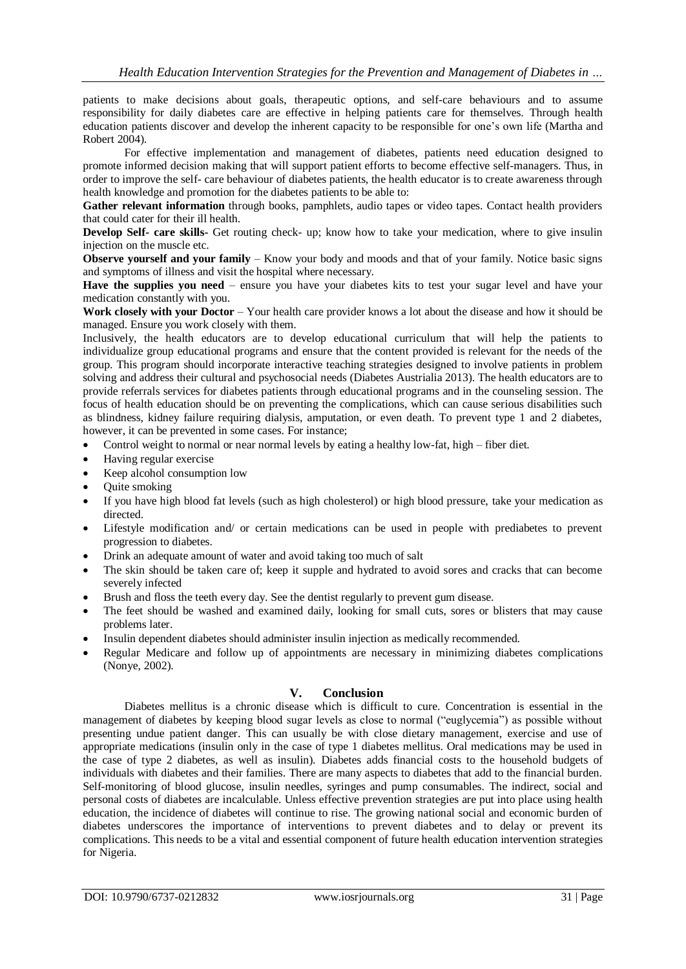patients to make decisions about goals, therapeutic options, and self-care behaviours and to assume responsibility for daily diabetes care are effective in helping patients care for themselves. Through health education patients discover and develop the inherent capacity to be responsible for one's own life (Martha and Robert 2004).

For effective implementation and management of diabetes, patients need education designed to promote informed decision making that will support patient efforts to become effective self-managers. Thus, in order to improve the self- care behaviour of diabetes patients, the health educator is to create awareness through health knowledge and promotion for the diabetes patients to be able to:

**Gather relevant information** through books, pamphlets, audio tapes or video tapes. Contact health providers that could cater for their ill health.

**Develop Self- care skills-** Get routing check- up; know how to take your medication, where to give insulin injection on the muscle etc.

**Observe yourself and your family** – Know your body and moods and that of your family. Notice basic signs and symptoms of illness and visit the hospital where necessary.

**Have the supplies you need** – ensure you have your diabetes kits to test your sugar level and have your medication constantly with you.

**Work closely with your Doctor** – Your health care provider knows a lot about the disease and how it should be managed. Ensure you work closely with them.

Inclusively, the health educators are to develop educational curriculum that will help the patients to individualize group educational programs and ensure that the content provided is relevant for the needs of the group. This program should incorporate interactive teaching strategies designed to involve patients in problem solving and address their cultural and psychosocial needs (Diabetes Austrialia 2013). The health educators are to provide referrals services for diabetes patients through educational programs and in the counseling session. The focus of health education should be on preventing the complications, which can cause serious disabilities such as blindness, kidney failure requiring dialysis, amputation, or even death. To prevent type 1 and 2 diabetes, however, it can be prevented in some cases. For instance;

- Control weight to normal or near normal levels by eating a healthy low-fat, high fiber diet.
- Having regular exercise
- Keep alcohol consumption low
- Quite smoking
- If you have high blood fat levels (such as high cholesterol) or high blood pressure, take your medication as directed.
- Lifestyle modification and/ or certain medications can be used in people with prediabetes to prevent progression to diabetes.
- Drink an adequate amount of water and avoid taking too much of salt
- The skin should be taken care of; keep it supple and hydrated to avoid sores and cracks that can become severely infected
- Brush and floss the teeth every day. See the dentist regularly to prevent gum disease.
- The feet should be washed and examined daily, looking for small cuts, sores or blisters that may cause problems later.
- Insulin dependent diabetes should administer insulin injection as medically recommended.
- Regular Medicare and follow up of appointments are necessary in minimizing diabetes complications (Nonye, 2002).

## **V. Conclusion**

Diabetes mellitus is a chronic disease which is difficult to cure. Concentration is essential in the management of diabetes by keeping blood sugar levels as close to normal ("euglycemia") as possible without presenting undue patient danger. This can usually be with close dietary management, exercise and use of appropriate medications (insulin only in the case of type 1 diabetes mellitus. Oral medications may be used in the case of type 2 diabetes, as well as insulin). Diabetes adds financial costs to the household budgets of individuals with diabetes and their families. There are many aspects to diabetes that add to the financial burden. Self-monitoring of blood glucose, insulin needles, syringes and pump consumables. The indirect, social and personal costs of diabetes are incalculable. Unless effective prevention strategies are put into place using health education, the incidence of diabetes will continue to rise. The growing national social and economic burden of diabetes underscores the importance of interventions to prevent diabetes and to delay or prevent its complications. This needs to be a vital and essential component of future health education intervention strategies for Nigeria.